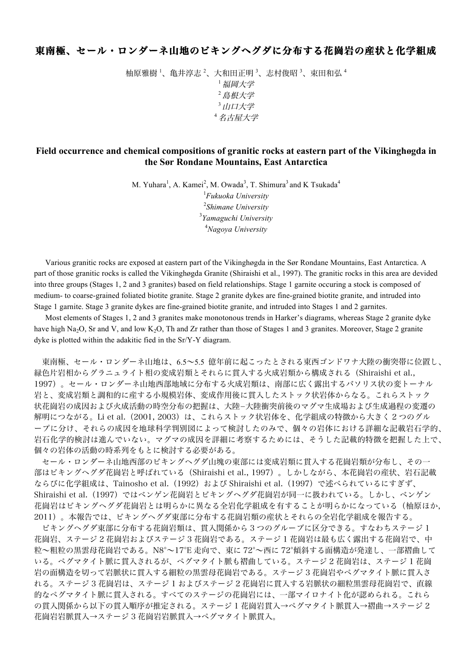## 東南極、セール・ロンダーネ山地のビキングヘグダに分布する花崗岩の産状と化学組成

柚原雅樹 <sup>1</sup>、亀井淳志 <sup>2</sup>、大和田正明 <sup>3</sup>、志村俊昭 <sup>3</sup>、束田和弘 <sup>4</sup> <sup>1</sup>福岡大学 <sup>2</sup>島根大学 3 山口大学 <sup>4</sup>名古屋大学

## **Field occurrence and chemical compositions of granitic rocks at eastern part of the Vikinghøgda in the Sør Rondane Mountains, East Antarctica**

M. Yuhara<sup>1</sup>, A. Kamei<sup>2</sup>, M. Owada<sup>3</sup>, T. Shimura<sup>3</sup> and K Tsukada<sup>4</sup>

 *Fukuoka University Shimane University Yamaguchi University Nagoya University*

Various granitic rocks are exposed at eastern part of the Vikinghøgda in the Sør Rondane Mountains, East Antarctica. A part of those granitic rocks is called the Vikinghøgda Granite (Shiraishi et al., 1997). The granitic rocks in this area are devided into three groups (Stages 1, 2 and 3 granites) based on field relationships. Stage 1 garnite occuring a stock is composed of medium- to coarse-grained foliated biotite granite. Stage 2 granite dykes are fine-grained biotite granite, and intruded into Stage 1 garnite. Stage 3 granite dykes are fine-grained biotite granite, and intruded into Stages 1 and 2 garnites.

Most elements of Stages 1, 2 and 3 granites make monotonous trends in Harker's diagrams, whereas Stage 2 granite dyke have high Na<sub>2</sub>O, Sr and V, and low K<sub>2</sub>O. Th and Zr rather than those of Stages 1 and 3 granites. Moreover, Stage 2 granite dyke is plotted within the adakitic fied in the Sr/Y-Y diagram.

東南極、セール・ロンダーネ山地は、6.5~5.5 億年前に起こったとされる東西ゴンドワナ大陸の衝突帯に位置し、 緑色片岩相からグラニュライト相の変成岩類とそれらに貫入する火成岩類から構成される(Shiraishi et al., 1997)。セール・ロンダーネ山地西部地域に分布する火成岩類は、南部に広く露出するバソリス状の変トーナル 岩と、変成岩類と調和的に産する小規模岩体、変成作用後に貫入したストック状岩体からなる。これらストック 状花崗岩の成因および火成活動の時空分布の把握は、大陸-大陸衝突前後のマグマ生成場および生成過程の変遷の 解明につながる。Li et al. (2001, 2003) は、これらストック状岩体を、化学組成の特徴から大きく 2 つのグル ープに分け、それらの成因を地球科学判別図によって検討したのみで、個々の岩体における詳細な記載岩石学的、 岩石化学的検討は進んでいない。マグマの成因を詳細に考察するためには、そうした記載的特徴を把握した上で、 個々の岩体の活動の時系列をもとに検討する必要がある。

セール・ロンダーネ山地西部のビキングヘグダ山塊の東部には変成岩類に貫入する花崗岩類が分布し、その一 部はビキングヘグダ花崗岩と呼ばれている(Shiraishi et al., 1997)。しかしながら、本花崗岩の産状、岩石記載 ならびに化学組成は、Tainosho et al. (1992) および Shiraishi et al. (1997) で述べられているにすぎず、 Shiraishi et al.(1997)ではベンゲン花崗岩とビキングヘグダ花崗岩が同一に扱われている。しかし、ベンゲン 花崗岩はビキングヘグダ花崗岩とは明らかに異なる全岩化学組成を有することが明らかになっている(柚原ほか, 2011)。本報告では、ビキングヘグダ東部に分布する花崗岩類の産状とそれらの全岩化学組成を報告する。

ビキングヘグダ東部に分布する花崗岩類は、貫入関係から 3 つのグループに区分できる。すなわちステージ 1 花崗岩、ステージ 2 花崗岩およびステージ 3 花崗岩である。ステージ 1 花崗岩は最も広く露出する花崗岩で、中 粒~粗粒の黒雲母花崗岩である。N8°~17°E 走向で、東に 72°~西に 72°傾斜する面構造が発達し、一部褶曲して いる。ペグマタイト脈に貫入されるが、ペグマタイト脈も褶曲している。ステージ 2 花崗岩は、ステージ 1 花崗 岩の面構造を切って岩脈状に貫入する細粒の黒雲母花崗岩である。ステージ 3 花崗岩やペグマタイト脈に貫入さ れる。ステージ 3 花崗岩は、ステージ 1 およびステージ 2 花崗岩に貫入する岩脈状の細粒黒雲母花崗岩で、直線 的なペグマタイト脈に貫入される。すべてのステージの花崗岩には、一部マイロナイト化が認められる。これら の貫入関係から以下の貫入順序が推定される。ステージ 1 花崗岩貫入→ペグマタイト脈貫入→褶曲→ステージ 2 花崗岩岩脈貫入→ステージ 3 花崗岩岩脈貫入→ペグマタイト脈貫入。